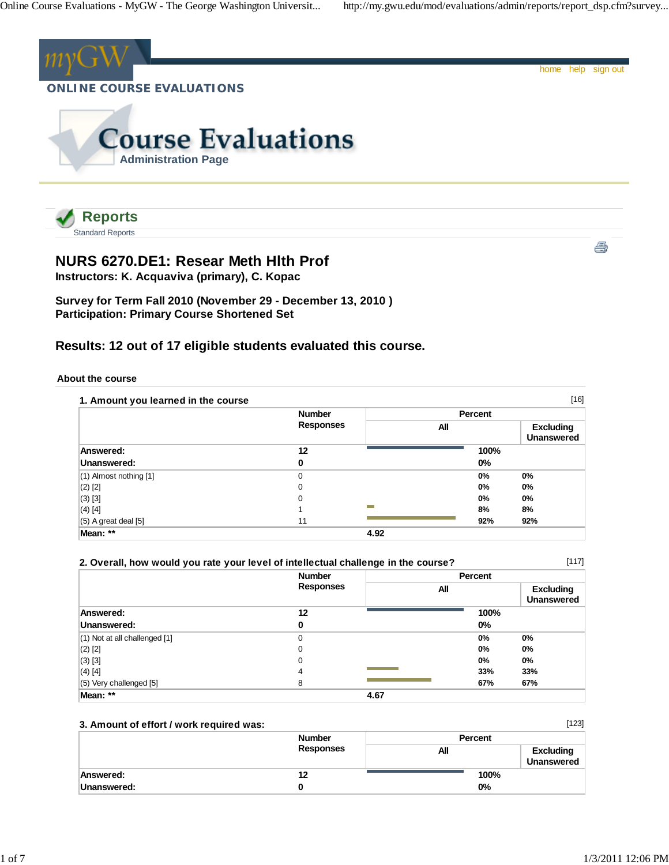

**NURS 6270.DE1: Resear Meth Hlth Prof**

**Instructors: K. Acquaviva (primary), C. Kopac**



**Survey for Term Fall 2010 (November 29 - December 13, 2010 ) Participation: Primary Course Shortened Set**

## **Results: 12 out of 17 eligible students evaluated this course.**

#### **About the course**

|                          | <b>Number</b>    |      | Percent |                                       |
|--------------------------|------------------|------|---------|---------------------------------------|
|                          | <b>Responses</b> |      | All     | <b>Excluding</b><br><b>Unanswered</b> |
| Answered:                | 12               |      | 100%    |                                       |
| Unanswered:              | 0                |      | 0%      |                                       |
| (1) Almost nothing [1]   | 0                |      | $0\%$   | $0\%$                                 |
| $(2)$ [2]                | 0                |      | 0%      | 0%                                    |
| $(3)$ [3]                | 0                |      | 0%      | $0\%$                                 |
| $(4)$ [4]                |                  |      | 8%      | 8%                                    |
| $(5)$ A great deal $[5]$ | 11               |      | 92%     | 92%                                   |
| Mean: **                 |                  | 4.92 |         |                                       |

|                                   | <b>Number</b>    | <b>Percent</b> |                                       |
|-----------------------------------|------------------|----------------|---------------------------------------|
|                                   | <b>Responses</b> | All            | <b>Excluding</b><br><b>Unanswered</b> |
| Answered:                         | 12               | 100%           |                                       |
| Unanswered:                       | 0                | $0\%$          |                                       |
| $(1)$ Not at all challenged $[1]$ | 0                | $0\%$          | $0\%$                                 |
| $(2)$ [2]                         | 0                | $0\%$          | 0%                                    |
| $(3)$ [3]                         | 0                | $0\%$          | 0%                                    |
| $(4)$ [4]                         | 4                | 33%            | 33%                                   |
| (5) Very challenged [5]           | 8                | 67%            | 67%                                   |
| Mean: **                          | 4.67             |                |                                       |

#### **3. Amount of effort / work required was:**

|             | <b>Number</b><br><b>Responses</b> | Percent |                                |
|-------------|-----------------------------------|---------|--------------------------------|
|             |                                   | All     | <b>Excluding</b><br>Unanswered |
| Answered:   | 12                                | 100%    |                                |
| Unanswered: |                                   | 0%      |                                |

[123]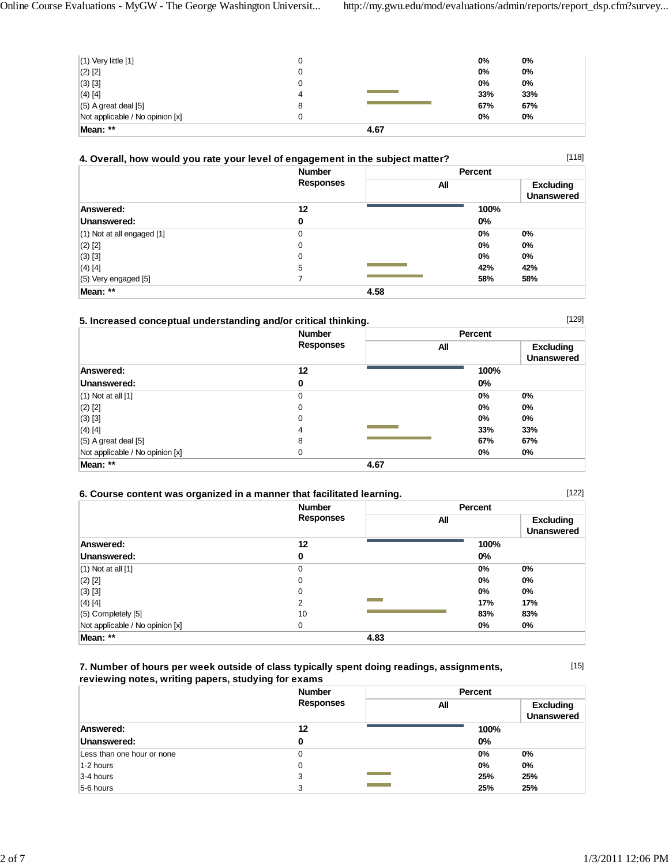| $(1)$ Very little $[1]$         | 0 |      | 0%  | 0%  |
|---------------------------------|---|------|-----|-----|
| $(2)$ $[2]$                     | 0 |      | 0%  | 0%  |
| (3) [3]                         | 0 |      | 0%  | 0%  |
| $(4)$ [4]                       | 4 |      | 33% | 33% |
|                                 |   |      | 67% |     |
| $(5)$ A great deal $[5]$        | 8 |      |     | 67% |
| Not applicable / No opinion [x] |   |      | 0%  | 0%  |
| Mean: **                        |   | 4.67 |     |     |

| 4. Overall, how would you rate your level of engagement in the subject matter? |                  |                |                                       |
|--------------------------------------------------------------------------------|------------------|----------------|---------------------------------------|
|                                                                                | <b>Number</b>    | <b>Percent</b> |                                       |
|                                                                                | <b>Responses</b> | All            | <b>Excluding</b><br><b>Unanswered</b> |
| Answered:                                                                      | 12               | 100%           |                                       |
| Unanswered:                                                                    | 0                | $0\%$          |                                       |
| $(1)$ Not at all engaged $[1]$                                                 | 0                | 0%             | 0%                                    |
| $(2)$ [2]                                                                      | 0                | 0%             | 0%                                    |
| $(3)$ [3]                                                                      | 0                | 0%             | $0\%$                                 |
| $(4)$ [4]                                                                      | 5                | 42%            | 42%                                   |
| $(5)$ Very engaged [5]                                                         |                  | 58%            | 58%                                   |
| Mean: **                                                                       |                  | 4.58           |                                       |

### **5. Increased conceptual understanding and/or critical thinking.**

|                                 | <b>Number</b><br><b>Responses</b> |      | Percent |                                       |
|---------------------------------|-----------------------------------|------|---------|---------------------------------------|
|                                 |                                   | All  |         | <b>Excluding</b><br><b>Unanswered</b> |
| Answered:                       | 12                                |      | 100%    |                                       |
| Unanswered:                     | 0                                 |      | 0%      |                                       |
| $(1)$ Not at all $[1]$          | $\mathbf 0$                       |      | $0\%$   | 0%                                    |
| $(2)$ [2]                       | 0                                 |      | $0\%$   | 0%                                    |
| $(3)$ [3]                       | 0                                 |      | $0\%$   | 0%                                    |
| $(4)$ [4]                       | 4                                 |      | 33%     | 33%                                   |
| $(5)$ A great deal $[5]$        | 8                                 |      | 67%     | 67%                                   |
| Not applicable / No opinion [x] | $\Omega$                          |      | 0%      | 0%                                    |
| Mean: **                        |                                   | 4.67 |         |                                       |

| [122]<br>6. Course content was organized in a manner that facilitated learning. |                  |         |                                       |
|---------------------------------------------------------------------------------|------------------|---------|---------------------------------------|
|                                                                                 | <b>Number</b>    | Percent |                                       |
|                                                                                 | <b>Responses</b> | All     | <b>Excluding</b><br><b>Unanswered</b> |
| Answered:                                                                       | 12               | 100%    |                                       |
| Unanswered:                                                                     |                  | $0\%$   |                                       |
| $(1)$ Not at all $[1]$                                                          |                  | $0\%$   | 0%                                    |
| $(2)$ [2]                                                                       |                  | 0%      | $0\%$                                 |

| $(3)$ [3]<br>$(4)$ [4]          |    |      | $0\%$<br>17% | 0%<br>17% |
|---------------------------------|----|------|--------------|-----------|
| $(5)$ Completely $[5]$          | 10 |      | 83%          | 83%       |
| Not applicable / No opinion [x] |    |      | 0%           | 0%        |
| Mean: **                        |    | 4.83 |              |           |

### **7. Number of hours per week outside of class typically spent doing readings, assignments, reviewing notes, writing papers, studying for exams**

[15]

[129]

|                            | <b>Number</b>    | Percent                                      |
|----------------------------|------------------|----------------------------------------------|
|                            | <b>Responses</b> | <b>Excluding</b><br>All<br><b>Unanswered</b> |
| Answered:                  | 12               | 100%                                         |
| Unanswered:                | 0                | $0\%$                                        |
| Less than one hour or none | 0                | $0\%$<br>$0\%$                               |
| $1-2$ hours                | 0                | $0\%$<br>$0\%$                               |
| $3-4$ hours                | 3                | 25%<br>25%                                   |
| 5-6 hours                  | 3                | 25%<br>25%                                   |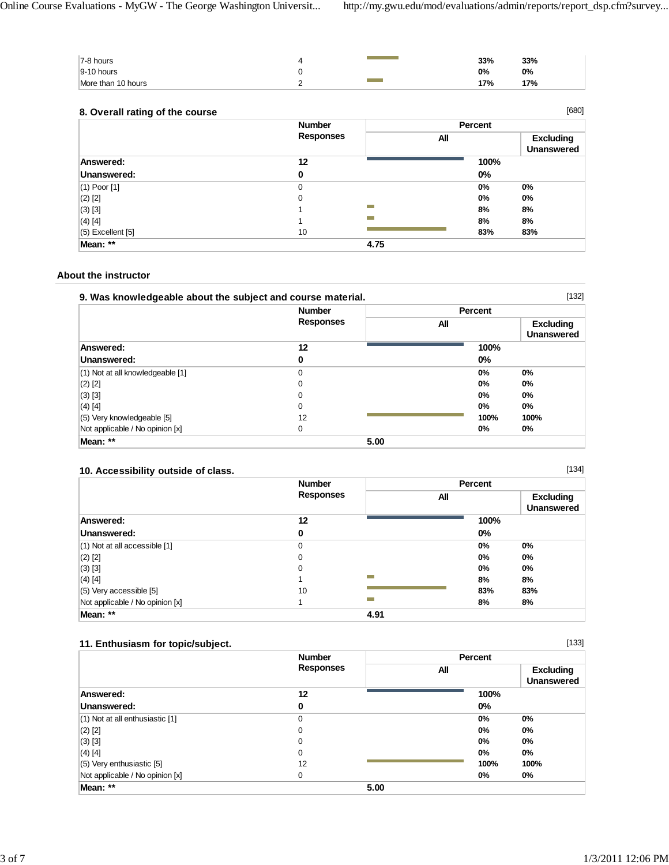| 7-8 hours          |   | 33% | 33% |
|--------------------|---|-----|-----|
| $9-10$ hours       |   | 0%  | 0%  |
| More than 10 hours | - | 17% | 17% |

#### **8. Overall rating of the course**

|                   | <b>Number</b>    | Percent |                                       |
|-------------------|------------------|---------|---------------------------------------|
|                   | <b>Responses</b> | All     | <b>Excluding</b><br><b>Unanswered</b> |
| Answered:         | 12               | 100%    |                                       |
| Unanswered:       | 0                | 0%      |                                       |
| $(1)$ Poor $[1]$  | 0                | 0%      | 0%                                    |
| $(2)$ [2]         | 0                | 0%      | $0\%$                                 |
| $(3)$ [3]         |                  | 8%      | 8%                                    |
| $(4)$ [4]         |                  | 8%      | 8%                                    |
| (5) Excellent [5] | 10               | 83%     | 83%                                   |
| Mean: **          |                  | 4.75    |                                       |

#### **About the instructor**

| [132]<br>9. Was knowledgeable about the subject and course material. |                  |         |                                       |
|----------------------------------------------------------------------|------------------|---------|---------------------------------------|
|                                                                      | <b>Number</b>    | Percent |                                       |
|                                                                      | <b>Responses</b> | All     | <b>Excluding</b><br><b>Unanswered</b> |
| Answered:                                                            | 12               | 100%    |                                       |
| Unanswered:                                                          | 0                | $0\%$   |                                       |
| $(1)$ Not at all knowledgeable [1]                                   | 0                | $0\%$   | $0\%$                                 |
| $(2)$ [2]                                                            | $\mathbf 0$      | $0\%$   | $0\%$                                 |
| $(3)$ [3]                                                            | 0                | $0\%$   | $0\%$                                 |
| $(4)$ [4]                                                            | 0                | 0%      | 0%                                    |
| (5) Very knowledgeable [5]                                           | 12               | 100%    | 100%                                  |
| Not applicable / No opinion [x]                                      | 0                | 0%      | 0%                                    |
| Mean: **                                                             | 5.00             |         |                                       |

### **10. Accessibility outside of class.**

|                                   | <b>Number</b><br><b>Responses</b> |                                                                                                                          | <b>Percent</b> |                                       |  |
|-----------------------------------|-----------------------------------|--------------------------------------------------------------------------------------------------------------------------|----------------|---------------------------------------|--|
|                                   |                                   |                                                                                                                          | All            | <b>Excluding</b><br><b>Unanswered</b> |  |
| Answered:                         | 12                                |                                                                                                                          | 100%           |                                       |  |
| Unanswered:                       | 0                                 |                                                                                                                          | $0\%$          |                                       |  |
| $(1)$ Not at all accessible $[1]$ | 0                                 |                                                                                                                          | $0\%$          | 0%                                    |  |
| $(2)$ [2]                         | $\mathbf 0$                       |                                                                                                                          | $0\%$          | 0%                                    |  |
| $(3)$ [3]                         | 0                                 |                                                                                                                          | $0\%$          | 0%                                    |  |
| $(4)$ [4]                         |                                   |                                                                                                                          | 8%             | 8%                                    |  |
| $(5)$ Very accessible [5]         | 10                                |                                                                                                                          | 83%            | 83%                                   |  |
| Not applicable / No opinion [x]   |                                   | م بين المنابع المنابع المنابع المنابع المنابع المنابع المنابع المنابع المنابع المنابع المنابع المنابع المنابع<br>المنابع | 8%             | 8%                                    |  |
| Mean: **                          |                                   | 4.91                                                                                                                     |                |                                       |  |

## **11. Enthusiasm for topic/subject.**

| 11. Enthusiasm for topic/subject.   |                  |         | [133]                                 |
|-------------------------------------|------------------|---------|---------------------------------------|
|                                     | <b>Number</b>    | Percent |                                       |
|                                     | <b>Responses</b> | All     | <b>Excluding</b><br><b>Unanswered</b> |
| Answered:                           | 12               | 100%    |                                       |
| Unanswered:                         | 0                | $0\%$   |                                       |
| $(1)$ Not at all enthusiastic $[1]$ | 0                | 0%      | 0%                                    |
| $(2)$ [2]                           | 0                | 0%      | 0%                                    |
| $(3)$ [3]                           | 0                | 0%      | $0\%$                                 |
| $(4)$ [4]                           | 0                | 0%      | 0%                                    |
| (5) Very enthusiastic [5]           | 12               | 100%    | 100%                                  |
| Not applicable / No opinion [x]     | 0                | 0%      | 0%                                    |
| Mean: **                            | 5.00             |         |                                       |

[134]

[680]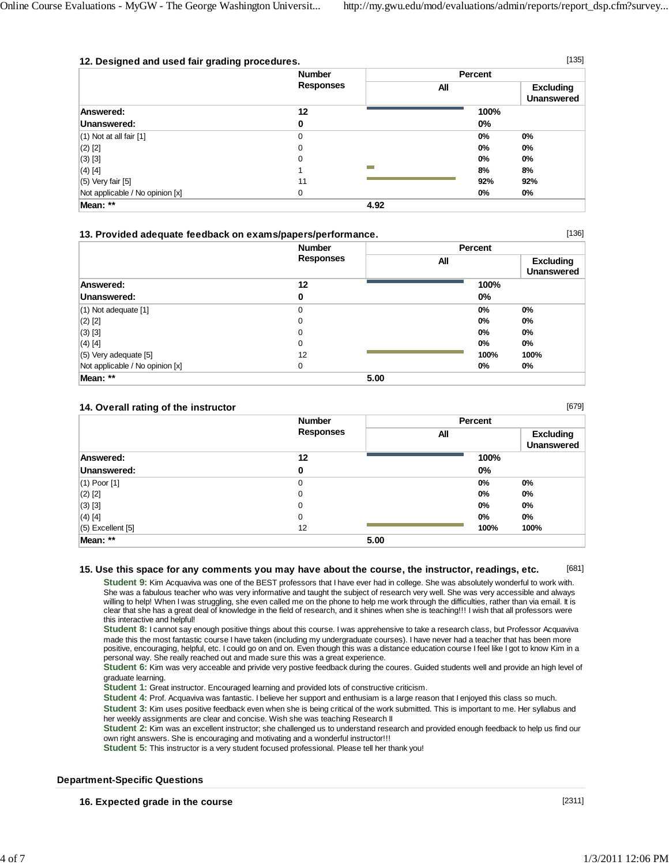[136]

[679]

| 12. Designed and used fair grading procedures. |                                   |      |         | [135]                                 |
|------------------------------------------------|-----------------------------------|------|---------|---------------------------------------|
|                                                | <b>Number</b><br><b>Responses</b> |      | Percent |                                       |
|                                                |                                   |      | All     | <b>Excluding</b><br><b>Unanswered</b> |
| Answered:                                      | 12                                |      | 100%    |                                       |
| Unanswered:                                    | 0                                 |      | $0\%$   |                                       |
| $(1)$ Not at all fair $[1]$                    | $\Omega$                          |      | 0%      | 0%                                    |
| $(2)$ [2]                                      | $\Omega$                          |      | $0\%$   | 0%                                    |
| $(3)$ [3]                                      | $\Omega$                          |      | $0\%$   | 0%                                    |
| $(4)$ [4]                                      |                                   |      | 8%      | 8%                                    |
| $(5)$ Very fair $[5]$                          | 11                                |      | 92%     | 92%                                   |
| Not applicable / No opinion [x]                | 0                                 |      | 0%      | 0%                                    |
| Mean: **                                       |                                   | 4.92 |         |                                       |

|  |  |  | 13. Provided adequate feedback on exams/papers/performance. |
|--|--|--|-------------------------------------------------------------|
|  |  |  |                                                             |

|                                 | <b>Number</b>    | Percent |                                       |
|---------------------------------|------------------|---------|---------------------------------------|
|                                 | <b>Responses</b> | All     | <b>Excluding</b><br><b>Unanswered</b> |
| Answered:                       | 12               | 100%    |                                       |
| Unanswered:                     | 0                | $0\%$   |                                       |
| $(1)$ Not adequate $[1]$        | 0                | $0\%$   | $0\%$                                 |
| $(2)$ [2]                       | $\mathbf 0$      | $0\%$   | $0\%$                                 |
| $(3)$ [3]                       | $\mathbf 0$      | $0\%$   | $0\%$                                 |
| $(4)$ [4]                       | $\mathbf 0$      | $0\%$   | $0\%$                                 |
| $(5)$ Very adequate $[5]$       | 12               | 100%    | 100%                                  |
| Not applicable / No opinion [x] | 0                | 0%      | 0%                                    |
| Mean: **                        | 5.00             |         |                                       |

#### **14. Overall rating of the instructor**

|                     | <b>Number</b>    | Percent |                                       |  |
|---------------------|------------------|---------|---------------------------------------|--|
|                     | <b>Responses</b> | All     | <b>Excluding</b><br><b>Unanswered</b> |  |
| Answered:           | 12               | 100%    |                                       |  |
| Unanswered:         | 0                | 0%      |                                       |  |
| $(1)$ Poor $[1]$    | 0                | 0%      | 0%                                    |  |
| $(2)$ [2]           | $\mathbf 0$      | 0%      | 0%                                    |  |
| $(3)$ [3]           | $\mathbf 0$      | 0%      | 0%                                    |  |
| $(4)$ [4]           | $\mathbf 0$      | 0%      | $0\%$                                 |  |
| $(5)$ Excellent [5] | 12               | 100%    | 100%                                  |  |
| Mean: **            | 5.00             |         |                                       |  |

#### [681] **15. Use this space for any comments you may have about the course, the instructor, readings, etc.**

**Student 9:** Kim Acquaviva was one of the BEST professors that I have ever had in college. She was absolutely wonderful to work with. She was a fabulous teacher who was very informative and taught the subject of research very well. She was very accessible and always willing to help! When I was struggling, she even called me on the phone to help me work through the difficulties, rather than via email. It is clear that she has a great deal of knowledge in the field of research, and it shines when she is teaching!!! I wish that all professors were this interactive and helpful!

**Student 8:** I cannot say enough positive things about this course. I was apprehensive to take a research class, but Professor Acquaviva made this the most fantastic course I have taken (including my undergraduate courses). I have never had a teacher that has been more positive, encouraging, helpful, etc. I could go on and on. Even though this was a distance education course I feel like I got to know Kim in a personal way. She really reached out and made sure this was a great experience.

**Student 6:** Kim was very acceable and privide very postive feedback during the coures. Guided students well and provide an high level of graduate learning.

**Student 1:** Great instructor. Encouraged learning and provided lots of constructive criticism.

**Student 4:** Prof. Acquaviva was fantastic. I believe her support and enthusiam is a large reason that I enjoyed this class so much.

**Student 3:** Kim uses positive feedback even when she is being critical of the work submitted. This is important to me. Her syllabus and her weekly assignments are clear and concise. Wish she was teaching Research II

**Student 2:** Kim was an excellent instructor; she challenged us to understand research and provided enough feedback to help us find our own right answers. She is encouraging and motivating and a wonderful instructor!!!

**Student 5:** This instructor is a very student focused professional. Please tell her thank you!

#### **Department-Specific Questions**

**16. Expected grade in the course**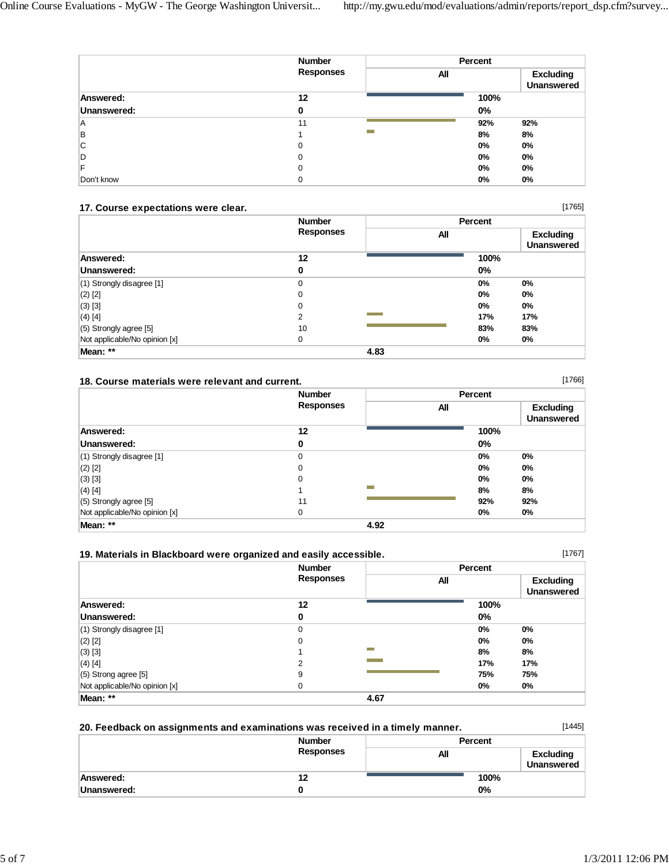|             | <b>Number</b>    |                | Percent |                                       |
|-------------|------------------|----------------|---------|---------------------------------------|
|             | <b>Responses</b> | All            |         | <b>Excluding</b><br><b>Unanswered</b> |
| Answered:   | 12               |                | 100%    |                                       |
| Unanswered: | 0                |                | $0\%$   |                                       |
| ΙA          | 11               |                | 92%     | 92%                                   |
| B           |                  | <b>College</b> | 8%      | 8%                                    |
| IС          | 0                |                | 0%      | 0%                                    |
| D           | 0                |                | 0%      | 0%                                    |
| F           | 0                |                | $0\%$   | 0%                                    |
| Don't know  | 0                |                | 0%      | 0%                                    |

#### **17. Course expectations were clear.**

|                               | <b>Number</b><br><b>Responses</b> |      | Percent |                                       |
|-------------------------------|-----------------------------------|------|---------|---------------------------------------|
|                               |                                   |      | All     | <b>Excluding</b><br><b>Unanswered</b> |
| Answered:                     | 12                                |      | 100%    |                                       |
| Unanswered:                   | 0                                 |      | 0%      |                                       |
| $(1)$ Strongly disagree $[1]$ | 0                                 |      | $0\%$   | 0%                                    |
| $(2)$ [2]                     | 0                                 |      | $0\%$   | 0%                                    |
| $(3)$ [3]                     | 0                                 |      | $0\%$   | $0\%$                                 |
| $(4)$ [4]                     | 2                                 |      | 17%     | 17%                                   |
| $(5)$ Strongly agree [5]      | 10                                |      | 83%     | 83%                                   |
| Not applicable/No opinion [x] | 0                                 |      | $0\%$   | $0\%$                                 |
| Mean: **                      |                                   | 4.83 |         |                                       |

#### **18. Course materials were relevant and current.**

|                               | <b>Number</b><br><b>Responses</b> |      | Percent |                                       |
|-------------------------------|-----------------------------------|------|---------|---------------------------------------|
|                               |                                   |      | All     | <b>Excluding</b><br><b>Unanswered</b> |
| Answered:                     | 12                                |      | 100%    |                                       |
| Unanswered:                   | 0                                 |      | $0\%$   |                                       |
| $(1)$ Strongly disagree [1]   | $\mathbf 0$                       |      | 0%      | 0%                                    |
| $(2)$ [2]                     | 0                                 |      | $0\%$   | $0\%$                                 |
| $(3)$ [3]                     | 0                                 |      | $0\%$   | $0\%$                                 |
| $(4)$ [4]                     |                                   |      | 8%      | 8%                                    |
| $(5)$ Strongly agree [5]      | 11                                |      | 92%     | 92%                                   |
| Not applicable/No opinion [x] | 0                                 |      | 0%      | 0%                                    |
| Mean: **                      |                                   | 4.92 |         |                                       |

### **19. Materials in Blackboard were organized and easily accessible.**

| 19. Materials in Blackboard were organized and easily accessible. |                                   |      |                | [1767]                                |
|-------------------------------------------------------------------|-----------------------------------|------|----------------|---------------------------------------|
|                                                                   | <b>Number</b><br><b>Responses</b> |      | <b>Percent</b> |                                       |
|                                                                   |                                   |      | All            | <b>Excluding</b><br><b>Unanswered</b> |
| Answered:                                                         | 12                                |      | 100%           |                                       |
| Unanswered:                                                       | 0                                 |      | $0\%$          |                                       |
| $(1)$ Strongly disagree [1]                                       | 0                                 |      | $0\%$          | 0%                                    |
| $(2)$ [2]                                                         | 0                                 |      | $0\%$          | 0%                                    |
| $(3)$ [3]                                                         |                                   |      | 8%             | 8%                                    |
| $(4)$ [4]                                                         | 2                                 |      | 17%            | 17%                                   |
| $(5)$ Strong agree [5]                                            | 9                                 |      | 75%            | 75%                                   |
| Not applicable/No opinion [x]                                     | 0                                 |      | $0\%$          | 0%                                    |
| Mean: **                                                          |                                   | 4.67 |                |                                       |

| 20. Feedback on assignments and examinations was received in a timely manner. |                  |         | [1445]                                |
|-------------------------------------------------------------------------------|------------------|---------|---------------------------------------|
|                                                                               | <b>Number</b>    | Percent |                                       |
|                                                                               | <b>Responses</b> | All     | <b>Excluding</b><br><b>Unanswered</b> |
| Answered:                                                                     | 12               | 100%    |                                       |
| Unanswered:                                                                   |                  | $0\%$   |                                       |

[1765]

[1766]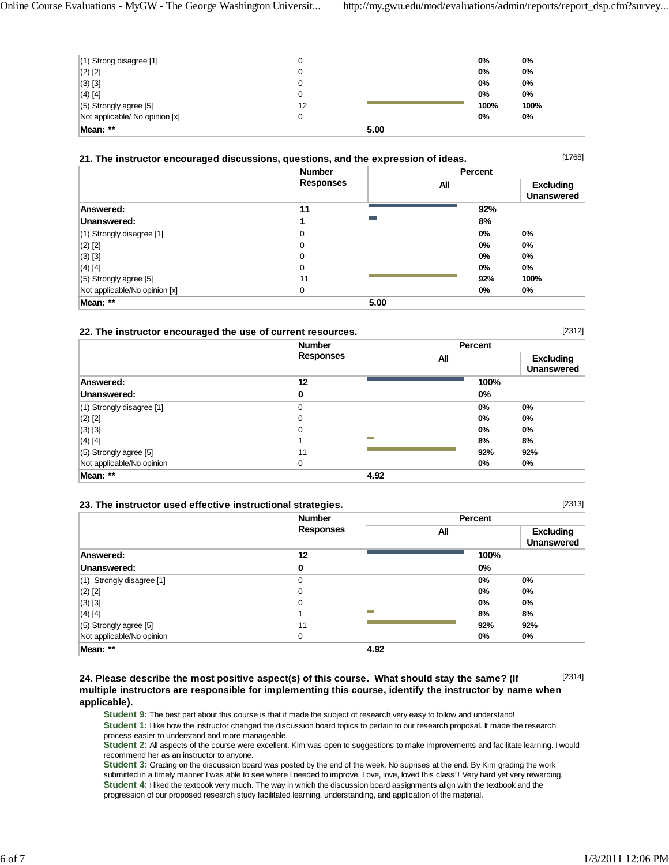[2312]

[2313]

| Mean: **                       | 5.00 |      |      |
|--------------------------------|------|------|------|
| Not applicable/ No opinion [x] |      | 0%   | 0%   |
| $(5)$ Strongly agree [5]       | 12   | 100% | 100% |
| $(4)$ [4]                      | 0    | 0%   | 0%   |
| $(3)$ [3]                      | 0    | 0%   | 0%   |
| $(2)$ [2]                      | 0    | 0%   | 0%   |
| $(1)$ Strong disagree [1]      |      | 0%   | 0%   |

| 21. The instructor encouraged discussions, questions, and the expression of ideas. |
|------------------------------------------------------------------------------------|
|                                                                                    |

|                               | <b>Number</b>    | Percent  |                                       |  |  |  |
|-------------------------------|------------------|----------|---------------------------------------|--|--|--|
|                               | <b>Responses</b> | All      | <b>Excluding</b><br><b>Unanswered</b> |  |  |  |
| Answered:                     | 11               | 92%      |                                       |  |  |  |
| Unanswered:                   |                  | m.<br>8% |                                       |  |  |  |
| $(1)$ Strongly disagree $[1]$ | 0                | 0%       | 0%                                    |  |  |  |
| $(2)$ [2]                     | 0                | $0\%$    | 0%                                    |  |  |  |
| $(3)$ [3]                     | 0                | $0\%$    | $0\%$                                 |  |  |  |
| $(4)$ [4]                     | 0                | $0\%$    | $0\%$                                 |  |  |  |
| $(5)$ Strongly agree [5]      | 11               | 92%      | 100%                                  |  |  |  |
| Not applicable/No opinion [x] | 0                | 0%       | 0%                                    |  |  |  |
| Mean: **                      |                  | 5.00     |                                       |  |  |  |

#### **22. The instructor encouraged the use of current resources.**

|                               | <b>Number</b>    |      | Percent |     |  |
|-------------------------------|------------------|------|---------|-----|--|
|                               | <b>Responses</b> |      | All     |     |  |
| Answered:                     | 12               |      | 100%    |     |  |
| Unanswered:                   | 0                |      | 0%      |     |  |
| $(1)$ Strongly disagree $[1]$ | 0                |      | 0%      | 0%  |  |
| $(2)$ [2]                     | 0                |      | $0\%$   | 0%  |  |
| $(3)$ [3]                     | $\mathbf 0$      |      | 0%      | 0%  |  |
| $(4)$ [4]                     |                  |      | 8%      | 8%  |  |
| $(5)$ Strongly agree [5]      | 11               |      | 92%     | 92% |  |
| Not applicable/No opinion     | 0                |      | 0%      | 0%  |  |
| Mean: **                      |                  | 4.92 |         |     |  |

#### **23. The instructor used effective instructional strategies.**

|                             | <b>Number</b>    |      |       |                                       |
|-----------------------------|------------------|------|-------|---------------------------------------|
|                             | <b>Responses</b> |      | All   | <b>Excluding</b><br><b>Unanswered</b> |
| Answered:                   | 12               |      | 100%  |                                       |
| Unanswered:                 | 0                |      | 0%    |                                       |
| $(1)$ Strongly disagree [1] | 0                |      | $0\%$ | $0\%$                                 |
| $(2)$ [2]                   | 0                |      | $0\%$ | $0\%$                                 |
| $(3)$ [3]                   | 0                |      | $0\%$ | $0\%$                                 |
| $(4)$ [4]                   |                  |      | 8%    | 8%                                    |
| (5) Strongly agree [5]      | 11               |      | 92%   | 92%                                   |
| Not applicable/No opinion   | 0                |      | 0%    | 0%                                    |
| Mean: **                    |                  | 4.92 |       |                                       |

#### [2314] **24. Please describe the most positive aspect(s) of this course. What should stay the same? (If multiple instructors are responsible for implementing this course, identify the instructor by name when applicable).**

**Student 9:** The best part about this course is that it made the subject of research very easy to follow and understand! Student 1: I like how the instructor changed the discussion board topics to pertain to our research proposal. It made the research process easier to understand and more manageable.

**Student 2:** All aspects of the course were excellent. Kim was open to suggestions to make improvements and facilitate learning. I would recommend her as an instructor to anyone.

**Student 3:** Grading on the discussion board was posted by the end of the week. No suprises at the end. By Kim grading the work submitted in a timely manner I was able to see where I needed to improve. Love, love, loved this class!! Very hard yet very rewarding. **Student 4:** I liked the textbook very much. The way in which the discussion board assignments align with the textbook and the progression of our proposed research study facilitated learning, understanding, and application of the material.